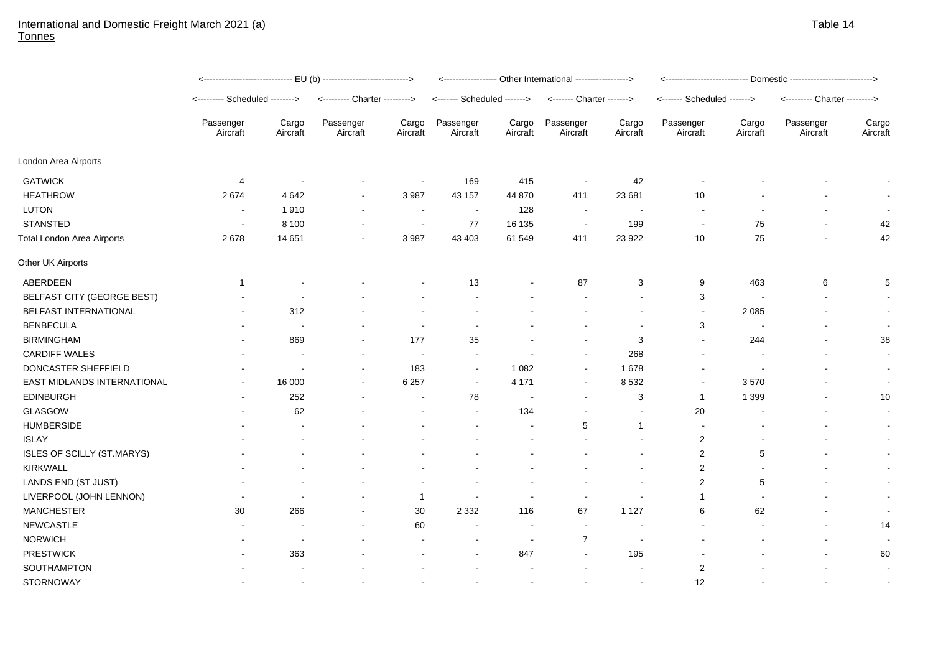## International and Domestic Freight March 2021 (a) Tonnes

|                                   | <u>&lt;------------------------------ EU (b) ----------------------------&gt;</u> |                          |                               |                          | <----------------- Other International -----------------> |                   |                           |                          | <u>&lt;---------------------------- Domestic ---------------------------&gt;</u> |                   |                               |                          |
|-----------------------------------|-----------------------------------------------------------------------------------|--------------------------|-------------------------------|--------------------------|-----------------------------------------------------------|-------------------|---------------------------|--------------------------|----------------------------------------------------------------------------------|-------------------|-------------------------------|--------------------------|
|                                   | <-------- Scheduled -------->                                                     |                          | <--------- Charter ---------> |                          | <------- Scheduled ------->                               |                   | <------- Charter -------> |                          | <------- Scheduled ------->                                                      |                   | <--------- Charter ---------> |                          |
|                                   | Passenger<br>Aircraft                                                             | Cargo<br>Aircraft        | Passenger<br>Aircraft         | Cargo<br>Aircraft        | Passenger<br>Aircraft                                     | Cargo<br>Aircraft | Passenger<br>Aircraft     | Cargo<br>Aircraft        | Passenger<br>Aircraft                                                            | Cargo<br>Aircraft | Passenger<br>Aircraft         | Cargo<br>Aircraft        |
| London Area Airports              |                                                                                   |                          |                               |                          |                                                           |                   |                           |                          |                                                                                  |                   |                               |                          |
| <b>GATWICK</b>                    | 4                                                                                 | $\overline{\phantom{a}}$ |                               | $\overline{\phantom{a}}$ | 169                                                       | 415               | $\blacksquare$            | 42                       |                                                                                  |                   |                               |                          |
| <b>HEATHROW</b>                   | 2674                                                                              | 4642                     |                               | 3 9 8 7                  | 43 157                                                    | 44 870            | 411                       | 23 681                   | 10                                                                               |                   |                               | $\overline{\phantom{a}}$ |
| LUTON                             |                                                                                   | 1910                     |                               | $\overline{\phantom{a}}$ | $\sim$                                                    | 128               | $\overline{\phantom{a}}$  |                          |                                                                                  |                   |                               | $\overline{\phantom{a}}$ |
| <b>STANSTED</b>                   |                                                                                   | 8 1 0 0                  |                               | $\blacksquare$           | 77                                                        | 16 135            | $\sim$                    | 199                      | $\blacksquare$                                                                   | 75                |                               | 42                       |
| <b>Total London Area Airports</b> | 2678                                                                              | 14 651                   |                               | 3987                     | 43 403                                                    | 61 549            | 411                       | 23 9 22                  | 10                                                                               | 75                |                               | 42                       |
| Other UK Airports                 |                                                                                   |                          |                               |                          |                                                           |                   |                           |                          |                                                                                  |                   |                               |                          |
| ABERDEEN                          | -1                                                                                |                          |                               |                          | 13                                                        |                   | 87                        | 3                        | 9                                                                                | 463               | 6                             | $\sqrt{5}$               |
| BELFAST CITY (GEORGE BEST)        |                                                                                   |                          |                               |                          |                                                           |                   |                           |                          | 3                                                                                |                   |                               | $\sim$                   |
| BELFAST INTERNATIONAL             |                                                                                   | 312                      |                               |                          |                                                           |                   |                           |                          | $\blacksquare$                                                                   | 2 0 8 5           |                               | $\sim$                   |
| <b>BENBECULA</b>                  |                                                                                   | $\overline{\phantom{a}}$ |                               |                          |                                                           |                   |                           |                          | 3                                                                                |                   |                               | $\sim$                   |
| <b>BIRMINGHAM</b>                 |                                                                                   | 869                      |                               | 177                      | 35                                                        |                   | $\blacksquare$            | $\sqrt{3}$               | $\blacksquare$                                                                   | 244               |                               | 38                       |
| <b>CARDIFF WALES</b>              |                                                                                   |                          |                               | $\blacksquare$           | $\sim$                                                    |                   | $\blacksquare$            | 268                      |                                                                                  |                   |                               | $\sim$                   |
| DONCASTER SHEFFIELD               |                                                                                   |                          |                               | 183                      | $\sim$                                                    | 1 0 8 2           | $\blacksquare$            | 1678                     |                                                                                  |                   |                               | $\sim$                   |
| EAST MIDLANDS INTERNATIONAL       |                                                                                   | 16 000                   |                               | 6 2 5 7                  | $\sim$                                                    | 4 1 7 1           |                           | 8532                     |                                                                                  | 3570              |                               | $\sim$                   |
| <b>EDINBURGH</b>                  |                                                                                   | 252                      |                               |                          | 78                                                        |                   |                           | 3                        | $\mathbf{1}$                                                                     | 1 3 9 9           |                               | 10                       |
| GLASGOW                           |                                                                                   | 62                       |                               |                          |                                                           | 134               |                           |                          | 20                                                                               |                   |                               | $\overline{\phantom{a}}$ |
| <b>HUMBERSIDE</b>                 |                                                                                   |                          |                               |                          |                                                           |                   | 5                         | 1                        |                                                                                  |                   |                               | $\sim$                   |
| <b>ISLAY</b>                      |                                                                                   |                          |                               |                          |                                                           |                   |                           |                          | $\overline{c}$                                                                   |                   |                               | $\sim$                   |
| ISLES OF SCILLY (ST.MARYS)        |                                                                                   |                          |                               |                          |                                                           |                   |                           |                          | $\overline{2}$                                                                   | 5                 |                               | $\sim$                   |
| <b>KIRKWALL</b>                   |                                                                                   |                          |                               |                          |                                                           |                   |                           |                          | 2                                                                                |                   |                               | $\sim$                   |
| LANDS END (ST JUST)               |                                                                                   |                          |                               |                          |                                                           |                   |                           |                          | 2                                                                                | 5                 |                               | $\sim$                   |
| LIVERPOOL (JOHN LENNON)           |                                                                                   |                          |                               | $\mathbf{1}$             |                                                           |                   | $\blacksquare$            |                          | $\mathbf 1$                                                                      |                   |                               | $\sim$                   |
| <b>MANCHESTER</b>                 | 30                                                                                | 266                      |                               | 30                       | 2 3 3 2                                                   | 116               | 67                        | 1 1 2 7                  | 6                                                                                | 62                |                               | $\blacksquare$           |
| <b>NEWCASTLE</b>                  |                                                                                   |                          |                               | 60                       |                                                           | $\sim$            | $\sim$                    | $\blacksquare$           |                                                                                  |                   |                               | 14                       |
| <b>NORWICH</b>                    |                                                                                   |                          |                               |                          |                                                           | $\sim$            | $\overline{7}$            | $\overline{\phantom{a}}$ |                                                                                  |                   |                               | $\overline{\phantom{a}}$ |
| <b>PRESTWICK</b>                  |                                                                                   | 363                      |                               |                          |                                                           | 847               |                           | 195                      |                                                                                  |                   |                               | 60                       |
| SOUTHAMPTON                       |                                                                                   |                          |                               |                          |                                                           |                   |                           |                          | $\overline{2}$                                                                   |                   |                               |                          |
| <b>STORNOWAY</b>                  |                                                                                   |                          |                               |                          |                                                           |                   |                           |                          | 12                                                                               |                   |                               |                          |